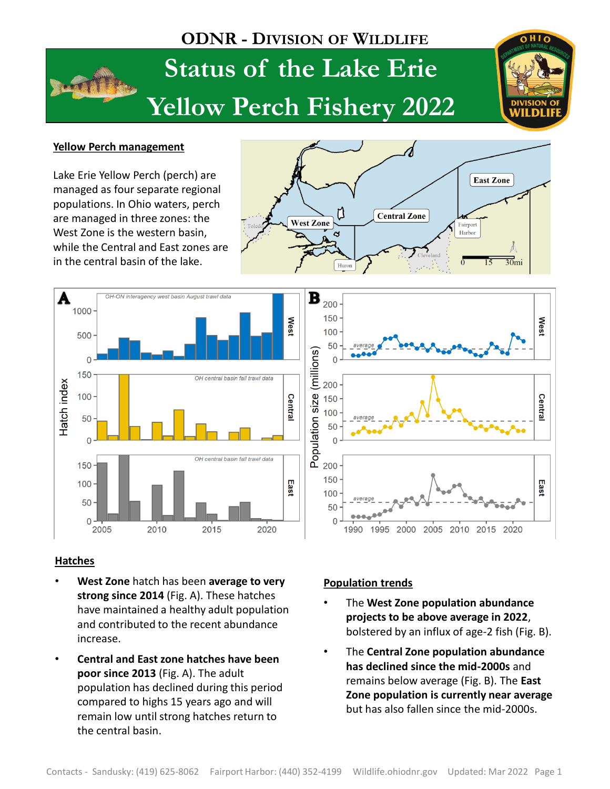# **Status of the Lake Erie Yellow Perch Fishery 2022 ODNR - DIVISION OF WILDLIFE**

#### **Yellow Perch management**

Lake Erie Yellow Perch (perch) are managed as four separate regional populations. In Ohio waters, perch are managed in three zones: the West Zone is the western basin, while the Central and East zones are in the central basin of the lake.





#### **Hatches**

- **West Zone** hatch has been **average to very strong since 2014** (Fig. A). These hatches have maintained a healthy adult population and contributed to the recent abundance increase.
- **Central and East zone hatches have been poor since 2013** (Fig. A). The adult population has declined during this period compared to highs 15 years ago and will remain low until strong hatches return to the central basin.

#### **Population trends**

- The **West Zone population abundance projects to be above average in 2022**, bolstered by an influx of age-2 fish (Fig. B).
- The **Central Zone population abundance has declined since the mid-2000s** and remains below average (Fig. B). The **East Zone population is currently near average**  but has also fallen since the mid-2000s.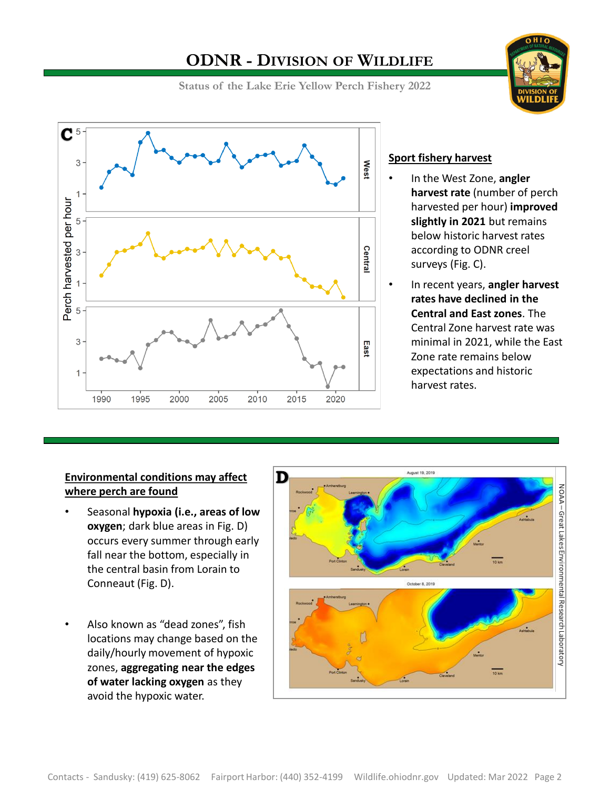### **ODNR - DIVISION OF WILDLIFE**

**Status of the Lake Erie Yellow Perch Fishery 2022**



#### **Sport fishery harvest**

- In the West Zone, **angler harvest rate** (number of perch harvested per hour) **improved slightly in 2021** but remains below historic harvest rates according to ODNR creel surveys (Fig. C).
- In recent years, **angler harvest rates have declined in the Central and East zones**. The Central Zone harvest rate was minimal in 2021, while the East Zone rate remains below expectations and historic harvest rates.

### **Environmental conditions may affect where perch are found**

- Seasonal **hypoxia (i.e., areas of low oxygen**; dark blue areas in Fig. D) occurs every summer through early fall near the bottom, especially in the central basin from Lorain to Conneaut (Fig. D).
- Also known as "dead zones", fish locations may change based on the daily/hourly movement of hypoxic zones, **aggregating near the edges of water lacking oxygen** as they avoid the hypoxic water.

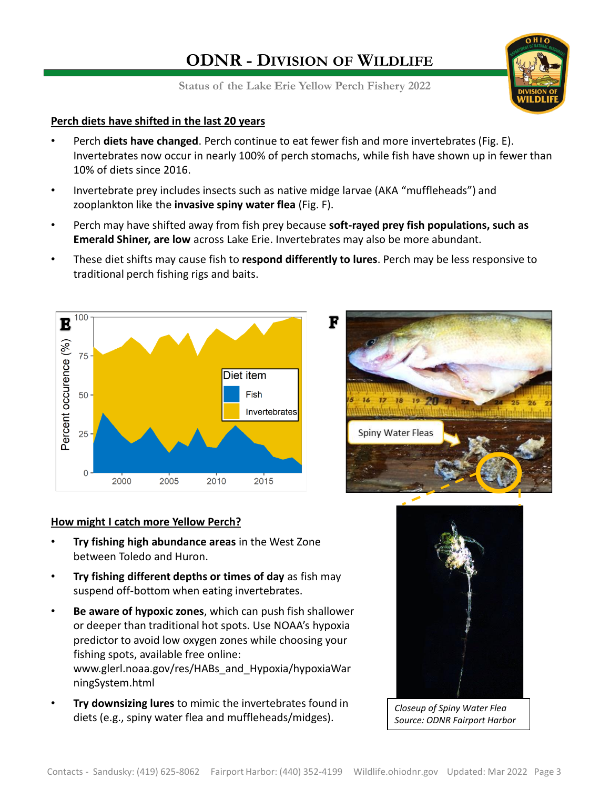# **ODNR - DIVISION OF WILDLIFE**

**Status of the Lake Erie Yellow Perch Fishery 2022**



#### **Perch diets have shifted in the last 20 years**

- Perch **diets have changed**. Perch continue to eat fewer fish and more invertebrates (Fig. E). Invertebrates now occur in nearly 100% of perch stomachs, while fish have shown up in fewer than 10% of diets since 2016.
- Invertebrate prey includes insects such as native midge larvae (AKA "muffleheads") and zooplankton like the **invasive spiny water flea** (Fig. F).
- Perch may have shifted away from fish prey because **soft-rayed prey fish populations, such as Emerald Shiner, are low** across Lake Erie. Invertebrates may also be more abundant.
- These diet shifts may cause fish to **respond differently to lures**. Perch may be less responsive to traditional perch fishing rigs and baits.



# F  $16$  $17$  $18$   $19$   $20$ Spiny Water Fleas

#### **How might I catch more Yellow Perch?**

- **Try fishing high abundance areas** in the West Zone between Toledo and Huron.
- **Try fishing different depths or times of day** as fish may suspend off-bottom when eating invertebrates.
- **Be aware of hypoxic zones**, which can push fish shallower or deeper than traditional hot spots. Use NOAA's hypoxia predictor to avoid low oxygen zones while choosing your fishing spots, available free online: www.glerl.noaa.gov/res/HABs\_and\_Hypoxia/hypoxiaWar ningSystem.html
- **Try downsizing lures** to mimic the invertebrates found in diets (e.g., spiny water flea and muffleheads/midges).



*Closeup of Spiny Water Flea Source: ODNR Fairport Harbor*